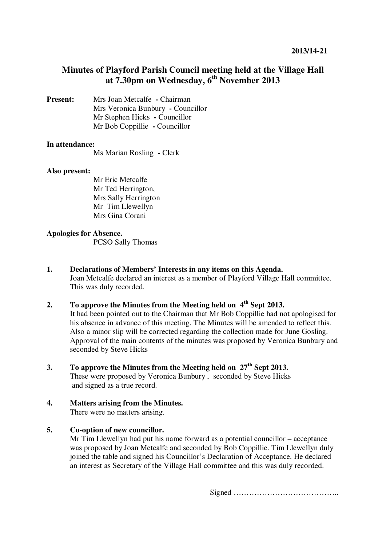# **Minutes of Playford Parish Council meeting held at the Village Hall at 7.30pm on Wednesday, 6th November 2013**

**Present:** Mrs Joan Metcalfe **-** Chairman Mrs Veronica Bunbury **-** Councillor Mr Stephen Hicks **-** Councillor Mr Bob Coppillie **-** Councillor

### **In attendance:**

Ms Marian Rosling **-** Clerk

### **Also present:**

Mr Eric Metcalfe Mr Ted Herrington, Mrs Sally Herrington Mr Tim Llewellyn Mrs Gina Corani

### **Apologies for Absence.**

PCSO Sally Thomas

- **1. Declarations of Members' Interests in any items on this Agenda.**  Joan Metcalfe declared an interest as a member of Playford Village Hall committee. This was duly recorded.
- **2. To approve the Minutes from the Meeting held on 4th Sept 2013.**  It had been pointed out to the Chairman that Mr Bob Coppillie had not apologised for his absence in advance of this meeting. The Minutes will be amended to reflect this. Also a minor slip will be corrected regarding the collection made for June Gosling. Approval of the main contents of the minutes was proposed by Veronica Bunbury and seconded by Steve Hicks
- **3. To approve the Minutes from the Meeting held on 27th Sept 2013.**  These were proposed by Veronica Bunbury , seconded by Steve Hicks and signed as a true record.
- **4. Matters arising from the Minutes.** There were no matters arising.

### **5. Co-option of new councillor.**

Mr Tim Llewellyn had put his name forward as a potential councillor – acceptance was proposed by Joan Metcalfe and seconded by Bob Coppillie. Tim Llewellyn duly joined the table and signed his Councillor's Declaration of Acceptance. He declared an interest as Secretary of the Village Hall committee and this was duly recorded.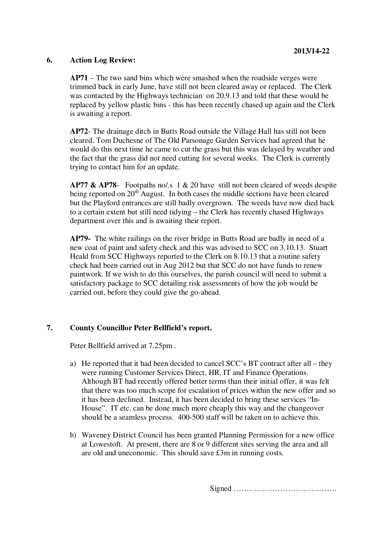# **6. Action Log Review:**

**AP71** – The two sand bins which were smashed when the roadside verges were trimmed back in early June, have still not been cleared away or replaced. The Clerk was contacted by the Highways technician on 20.9.13 and told that these would be replaced by yellow plastic bins - this has been recently chased up again and the Clerk is awaiting a report.

**AP72**- The drainage ditch in Butts Road outside the Village Hall has still not been cleared. Tom Duchesne of The Old Parsonage Garden Services had agreed that he would do this next time he came to cut the grass but this was delayed by weather and the fact that the grass did not need cutting for several weeks. The Clerk is currently trying to contact him for an update.

**AP77 & AP78**- Footpaths no/.s 1 & 20 have still not been cleared of weeds despite being reported on  $20<sup>th</sup>$  August. In both cases the middle sections have been cleared but the Playford entrances are still badly overgrown. The weeds have now died back to a certain extent but still need tidying – the Clerk has recently chased Highways department over this and is awaiting their report.

**AP79-** The white railings on the river bridge in Butts Road are badly in need of a new coat of paint and safety check and this was advised to SCC on 3.10.13. Stuart Heald from SCC Highways reported to the Clerk on 8.10.13 that a routine safety check had been carried out in Aug 2012 but that SCC do not have funds to renew paintwork. If we wish to do this ourselves, the parish council will need to submit a satisfactory package to SCC detailing risk assessments of how the job would be carried out, before they could give the go-ahead.

# **7. County Councillor Peter Bellfield's report.**

Peter Bellfield arrived at 7.25pm .

- a) He reported that it had been decided to cancel SCC's BT contract after all they were running Customer Services Direct, HR, IT and Finance Operations. Although BT had recently offered better terms than their initial offer, it was felt that there was too much scope for escalation of prices within the new offer and so it has been declined. Instead, it has been decided to bring these services "In-House". IT etc. can be done much more cheaply this way and the changeover should be a seamless process. 400-500 staff will be taken on to achieve this.
- b) Waveney District Council has been granted Planning Permission for a new office at Lowestoft. At present, there are 8 or 9 different sites serving the area and all are old and uneconomic. This should save £3m in running costs.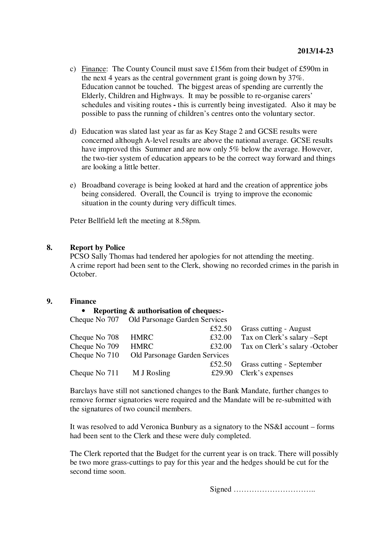- c) Finance: The County Council must save £156m from their budget of £590m in the next 4 years as the central government grant is going down by 37%. Education cannot be touched. The biggest areas of spending are currently the Elderly, Children and Highways. It may be possible to re-organise carers' schedules and visiting routes **-** this is currently being investigated. Also it may be possible to pass the running of children's centres onto the voluntary sector.
- d) Education was slated last year as far as Key Stage 2 and GCSE results were concerned although A-level results are above the national average. GCSE results have improved this Summer and are now only 5% below the average. However, the two-tier system of education appears to be the correct way forward and things are looking a little better.
- e) Broadband coverage is being looked at hard and the creation of apprentice jobs being considered. Overall, the Council is trying to improve the economic situation in the county during very difficult times.

Peter Bellfield left the meeting at 8.58pm.

#### **8. Report by Police**

PCSO Sally Thomas had tendered her apologies for not attending the meeting. A crime report had been sent to the Clerk, showing no recorded crimes in the parish in October.

# **9. Finance**

#### • **Reporting & authorisation of cheques:-**

Cheque No 707 Old Parsonage Garden Services

|               |                               | £52.50 | <b>Grass cutting - August</b>  |
|---------------|-------------------------------|--------|--------------------------------|
| Cheque No 708 | HMRC                          | £32.00 | Tax on Clerk's salary –Sept    |
| Cheque No 709 | <b>HMRC</b>                   | £32.00 | Tax on Clerk's salary -October |
| Cheque No 710 | Old Parsonage Garden Services |        |                                |
|               |                               | £52.50 | Grass cutting - September      |
| Cheque No 711 | M J Rosling                   |        | £29.90 Clerk's expenses        |
|               |                               |        |                                |

Barclays have still not sanctioned changes to the Bank Mandate, further changes to remove former signatories were required and the Mandate will be re-submitted with the signatures of two council members.

It was resolved to add Veronica Bunbury as a signatory to the NS&I account – forms had been sent to the Clerk and these were duly completed.

The Clerk reported that the Budget for the current year is on track. There will possibly be two more grass-cuttings to pay for this year and the hedges should be cut for the second time soon.

Signed …………………………..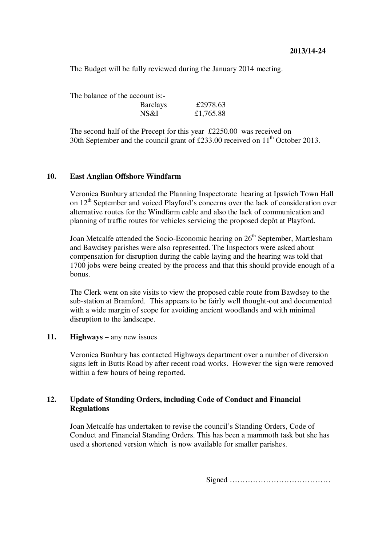The Budget will be fully reviewed during the January 2014 meeting.

The balance of the account is:-

| <b>Barclays</b> | £2978.63  |
|-----------------|-----------|
| NS&I            | £1,765.88 |

The second half of the Precept for this year £2250.00 was received on 30th September and the council grant of  $£233.00$  received on  $11<sup>th</sup>$  October 2013.

#### **10. East Anglian Offshore Windfarm**

Veronica Bunbury attended the Planning Inspectorate hearing at Ipswich Town Hall on  $12<sup>th</sup>$  September and voiced Playford's concerns over the lack of consideration over alternative routes for the Windfarm cable and also the lack of communication and planning of traffic routes for vehicles servicing the proposed depôt at Playford.

Joan Metcalfe attended the Socio-Economic hearing on  $26<sup>th</sup>$  September, Martlesham and Bawdsey parishes were also represented. The Inspectors were asked about compensation for disruption during the cable laying and the hearing was told that 1700 jobs were being created by the process and that this should provide enough of a bonus.

The Clerk went on site visits to view the proposed cable route from Bawdsey to the sub-station at Bramford. This appears to be fairly well thought-out and documented with a wide margin of scope for avoiding ancient woodlands and with minimal disruption to the landscape.

#### **11. Highways** – any new issues

Veronica Bunbury has contacted Highways department over a number of diversion signs left in Butts Road by after recent road works. However the sign were removed within a few hours of being reported.

### **12. Update of Standing Orders, including Code of Conduct and Financial Regulations**

Joan Metcalfe has undertaken to revise the council's Standing Orders, Code of Conduct and Financial Standing Orders. This has been a mammoth task but she has used a shortened version which is now available for smaller parishes.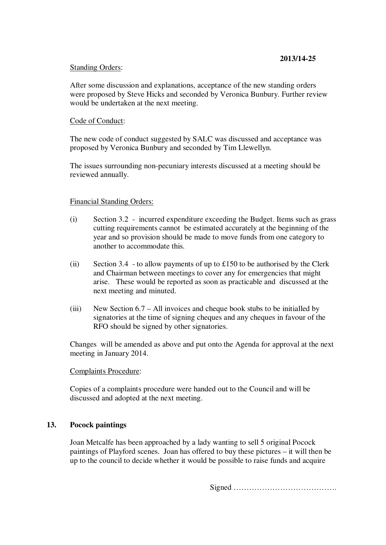# **2013/14-25**

#### Standing Orders:

After some discussion and explanations, acceptance of the new standing orders were proposed by Steve Hicks and seconded by Veronica Bunbury. Further review would be undertaken at the next meeting.

# Code of Conduct:

The new code of conduct suggested by SALC was discussed and acceptance was proposed by Veronica Bunbury and seconded by Tim Llewellyn.

The issues surrounding non-pecuniary interests discussed at a meeting should be reviewed annually.

### Financial Standing Orders:

- (i) Section 3.2 incurred expenditure exceeding the Budget. Items such as grass cutting requirements cannot be estimated accurately at the beginning of the year and so provision should be made to move funds from one category to another to accommodate this.
- (ii) Section 3.4 to allow payments of up to £150 to be authorised by the Clerk and Chairman between meetings to cover any for emergencies that might arise. These would be reported as soon as practicable and discussed at the next meeting and minuted.
- (iii) New Section 6.7 All invoices and cheque book stubs to be initialled by signatories at the time of signing cheques and any cheques in favour of the RFO should be signed by other signatories.

Changes will be amended as above and put onto the Agenda for approval at the next meeting in January 2014.

### Complaints Procedure:

Copies of a complaints procedure were handed out to the Council and will be discussed and adopted at the next meeting.

# **13. Pocock paintings**

Joan Metcalfe has been approached by a lady wanting to sell 5 original Pocock paintings of Playford scenes. Joan has offered to buy these pictures – it will then be up to the council to decide whether it would be possible to raise funds and acquire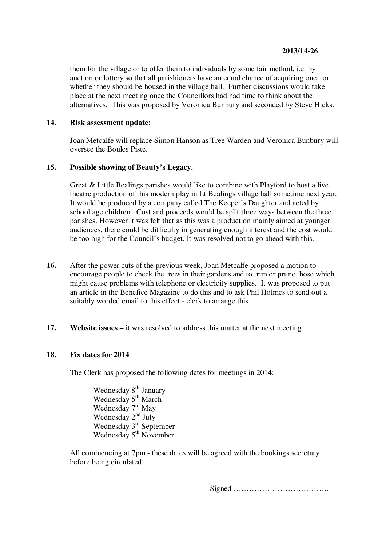them for the village or to offer them to individuals by some fair method. i.e. by auction or lottery so that all parishioners have an equal chance of acquiring one, or whether they should be housed in the village hall. Further discussions would take place at the next meeting once the Councillors had had time to think about the alternatives. This was proposed by Veronica Bunbury and seconded by Steve Hicks.

#### **14. Risk assessment update:**

Joan Metcalfe will replace Simon Hanson as Tree Warden and Veronica Bunbury will oversee the Boules Piste.

# **15. Possible showing of Beauty's Legacy.**

Great & Little Bealings parishes would like to combine with Playford to host a live theatre production of this modern play in Lt Bealings village hall sometime next year. It would be produced by a company called The Keeper's Daughter and acted by school age children. Cost and proceeds would be split three ways between the three parishes. However it was felt that as this was a production mainly aimed at younger audiences, there could be difficulty in generating enough interest and the cost would be too high for the Council's budget. It was resolved not to go ahead with this.

- **16.** After the power cuts of the previous week, Joan Metcalfe proposed a motion to encourage people to check the trees in their gardens and to trim or prune those which might cause problems with telephone or electricity supplies. It was proposed to put an article in the Benefice Magazine to do this and to ask Phil Holmes to send out a suitably worded email to this effect - clerk to arrange this.
- **17. Website issues** it was resolved to address this matter at the next meeting.

#### **18. Fix dates for 2014**

The Clerk has proposed the following dates for meetings in 2014:

Wednesday 8<sup>th</sup> January Wednesday 5<sup>th</sup> March Wednesday 7<sup>rd</sup> May Wednesday 2<sup>nd</sup> July Wednesday 3<sup>rd</sup> September Wednesday 5<sup>th</sup> November

All commencing at 7pm - these dates will be agreed with the bookings secretary before being circulated.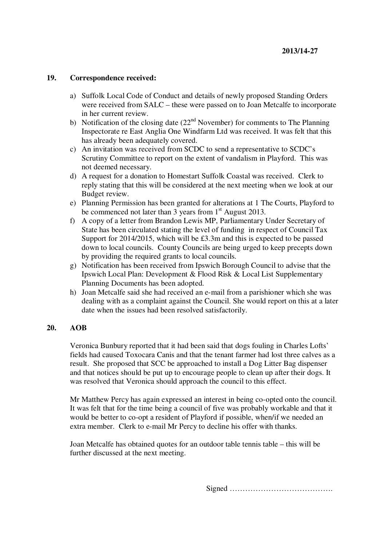# **19. Correspondence received:**

- a) Suffolk Local Code of Conduct and details of newly proposed Standing Orders were received from SALC – these were passed on to Joan Metcalfe to incorporate in her current review.
- b) Notification of the closing date  $(22<sup>nd</sup>$  November) for comments to The Planning Inspectorate re East Anglia One Windfarm Ltd was received. It was felt that this has already been adequately covered.
- c) An invitation was received from SCDC to send a representative to SCDC's Scrutiny Committee to report on the extent of vandalism in Playford. This was not deemed necessary.
- d) A request for a donation to Homestart Suffolk Coastal was received. Clerk to reply stating that this will be considered at the next meeting when we look at our Budget review.
- e) Planning Permission has been granted for alterations at 1 The Courts, Playford to be commenced not later than 3 years from  $1<sup>st</sup>$  August 2013.
- f) A copy of a letter from Brandon Lewis MP, Parliamentary Under Secretary of State has been circulated stating the level of funding in respect of Council Tax Support for 2014/2015, which will be £3.3m and this is expected to be passed down to local councils. County Councils are being urged to keep precepts down by providing the required grants to local councils.
- g) Notification has been received from Ipswich Borough Council to advise that the Ipswich Local Plan: Development & Flood Risk & Local List Supplementary Planning Documents has been adopted.
- h) Joan Metcalfe said she had received an e-mail from a parishioner which she was dealing with as a complaint against the Council. She would report on this at a later date when the issues had been resolved satisfactorily.

# **20. AOB**

Veronica Bunbury reported that it had been said that dogs fouling in Charles Lofts' fields had caused Toxocara Canis and that the tenant farmer had lost three calves as a result. She proposed that SCC be approached to install a Dog Litter Bag dispenser and that notices should be put up to encourage people to clean up after their dogs. It was resolved that Veronica should approach the council to this effect.

Mr Matthew Percy has again expressed an interest in being co-opted onto the council. It was felt that for the time being a council of five was probably workable and that it would be better to co-opt a resident of Playford if possible, when/if we needed an extra member. Clerk to e-mail Mr Percy to decline his offer with thanks.

Joan Metcalfe has obtained quotes for an outdoor table tennis table – this will be further discussed at the next meeting.